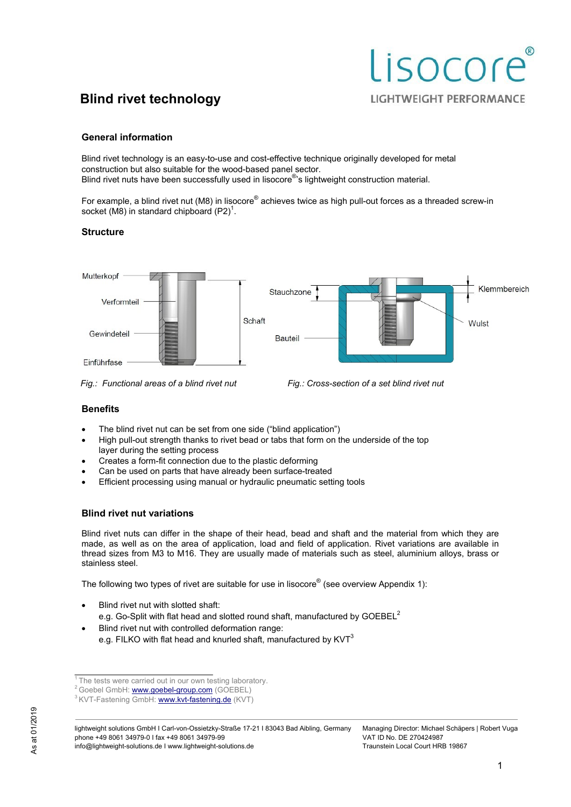# Lisocore **LIGHTWEIGHT PERFORMANCE**

# **Blind rivet technology**

# **General information**

Blind rivet technology is an easy-to-use and cost-effective technique originally developed for metal construction but also suitable for the wood-based panel sector. Blind rivet nuts have been successfully used in lisocore® 's lightweight construction material.

For example, a blind rivet nut (M8) in lisocore® achieves twice as high pull-out forces as a threaded screw-in socket (M8) in standard chipboard  $(P2)^{1}$ .

## **Structure**



*Fig.: Functional areas of a blind rivet nut Fig.: Cross-section of a set blind rivet nut* 

## **Benefits**

- The blind rivet nut can be set from one side ("blind application")
- High pull-out strength thanks to rivet bead or tabs that form on the underside of the top layer during the setting process
- Creates a form-fit connection due to the plastic deforming
- Can be used on parts that have already been surface-treated
- Efficient processing using manual or hydraulic pneumatic setting tools

## **Blind rivet nut variations**

Blind rivet nuts can differ in the shape of their head, bead and shaft and the material from which they are made, as well as on the area of application, load and field of application. Rivet variations are available in thread sizes from M3 to M16. They are usually made of materials such as steel, aluminium alloys, brass or stainless steel.

The following two types of rivet are suitable for use in lisocore® (see overview Appendix 1):

- Blind rivet nut with slotted shaft: e.g. Go-Split with flat head and slotted round shaft, manufactured by  $GOEBEL^2$
- Blind rivet nut with controlled deformation range: e.g. FILKO with flat head and knurled shaft, manufactured by  $KVT<sup>3</sup>$

lightweight solutions GmbH I Carl-von-Ossietzky-Straße 17-21 I 83043 Bad Aibling, Germany phone +49 8061 34979-0 I fax +49 8061 34979-99 info@lightweight-solutions.de I www.lightweight-solutions.de

 $1$ <sup>1</sup> The tests were carried out in our own testing laboratory.

<sup>&</sup>lt;sup>2</sup> Goebel GmbH: www.goebel-group.com (GOEBEL)

<sup>&</sup>lt;sup>3</sup> KVT-Fastening GmbH: www.kvt-fastening.de (KVT)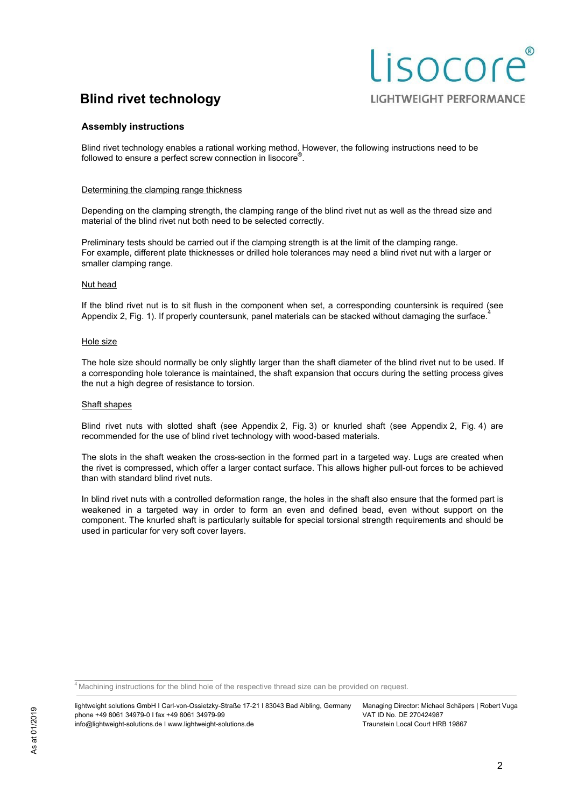# Lisocore **LIGHTWEIGHT PERFORMANCE**

## **Assembly instructions**

Blind rivet technology enables a rational working method. However, the following instructions need to be followed to ensure a perfect screw connection in lisocore<sup>®</sup>.

#### Determining the clamping range thickness

Depending on the clamping strength, the clamping range of the blind rivet nut as well as the thread size and material of the blind rivet nut both need to be selected correctly.

Preliminary tests should be carried out if the clamping strength is at the limit of the clamping range. For example, different plate thicknesses or drilled hole tolerances may need a blind rivet nut with a larger or smaller clamping range.

#### Nut head

If the blind rivet nut is to sit flush in the component when set, a corresponding countersink is required (see Appendix 2, Fig. 1). If properly countersunk, panel materials can be stacked without damaging the surface.

#### Hole size

The hole size should normally be only slightly larger than the shaft diameter of the blind rivet nut to be used. If a corresponding hole tolerance is maintained, the shaft expansion that occurs during the setting process gives the nut a high degree of resistance to torsion.

#### Shaft shapes

Blind rivet nuts with slotted shaft (see Appendix 2, Fig. 3) or knurled shaft (see Appendix 2, Fig. 4) are recommended for the use of blind rivet technology with wood-based materials.

The slots in the shaft weaken the cross-section in the formed part in a targeted way. Lugs are created when the rivet is compressed, which offer a larger contact surface. This allows higher pull-out forces to be achieved than with standard blind rivet nuts.

In blind rivet nuts with a controlled deformation range, the holes in the shaft also ensure that the formed part is weakened in a targeted way in order to form an even and defined bead, even without support on the component. The knurled shaft is particularly suitable for special torsional strength requirements and should be used in particular for very soft cover layers.

<sup>4</sup> Machining instructions for the blind hole of the respective thread size can be provided on request.

Managing Director: Michael Schäpers | Robert Vuga Traunstein Local Court HRB 19867

lightweight solutions GmbH I Carl-von-Ossietzky-Straße 17-21 I 83043 Bad Aibling, Germany phone +49 8061 34979-0 I fax +49 8061 34979-99 info@lightweight-solutions.de I www.lightweight-solutions.de VAT ID No. DE 270424987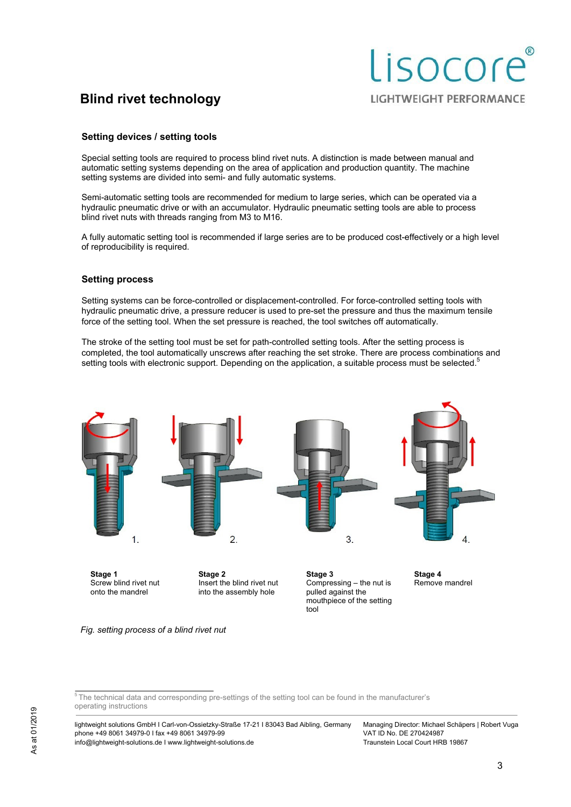#### **Setting devices / setting tools**

Special setting tools are required to process blind rivet nuts. A distinction is made between manual and automatic setting systems depending on the area of application and production quantity. The machine setting systems are divided into semi- and fully automatic systems.

Semi-automatic setting tools are recommended for medium to large series, which can be operated via a hydraulic pneumatic drive or with an accumulator. Hydraulic pneumatic setting tools are able to process blind rivet nuts with threads ranging from M3 to M16.

A fully automatic setting tool is recommended if large series are to be produced cost-effectively or a high level of reproducibility is required.

#### **Setting process**

Setting systems can be force-controlled or displacement-controlled. For force-controlled setting tools with hydraulic pneumatic drive, a pressure reducer is used to pre-set the pressure and thus the maximum tensile force of the setting tool. When the set pressure is reached, the tool switches off automatically.

The stroke of the setting tool must be set for path-controlled setting tools. After the setting process is completed, the tool automatically unscrews after reaching the set stroke. There are process combinations and setting tools with electronic support. Depending on the application, a suitable process must be selected.<sup>5</sup>



**Stage 1**  Screw blind rivet nut onto the mandrel

**Stage 2**  Insert the blind rivet nut into the assembly hole

**Stage 3**  Compressing – the nut is pulled against the mouthpiece of the setting tool

**Stage 4**  Remove mandrel

Lisocore

**LIGHTWEIGHT PERFORMANCE** 

*Fig. setting process of a blind rivet nut* 

 $5$ The technical data and corresponding pre-settings of the setting tool can be found in the manufacturer's operating instructions

lightweight solutions GmbH I Carl-von-Ossietzky-Straße 17-21 I 83043 Bad Aibling, Germany phone +49 8061 34979-0 I fax +49 8061 34979-99 info@lightweight-solutions.de I www.lightweight-solutions.de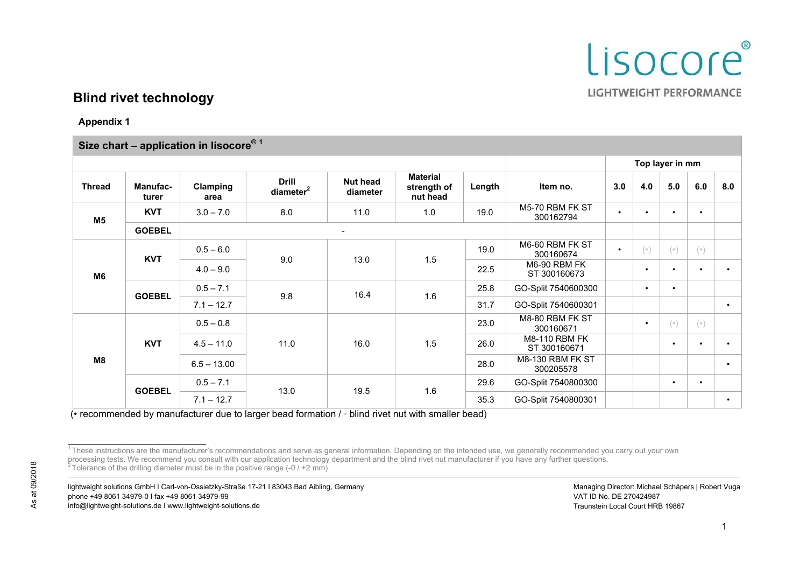

**Appendix 1** 

| Size chart - application in lisocore® 1 |                          |                  |                                       |                             |                                            |        |                                      |     |                                       |                                       |           |           |
|-----------------------------------------|--------------------------|------------------|---------------------------------------|-----------------------------|--------------------------------------------|--------|--------------------------------------|-----|---------------------------------------|---------------------------------------|-----------|-----------|
|                                         |                          |                  |                                       |                             |                                            |        | Top layer in mm                      |     |                                       |                                       |           |           |
| <b>Thread</b>                           | <b>Manufac-</b><br>turer | Clamping<br>area | <b>Drill</b><br>diameter <sup>2</sup> | <b>Nut head</b><br>diameter | <b>Material</b><br>strength of<br>nut head | Length | Item no.                             | 3.0 | 4.0                                   | 5.0                                   | 6.0       | 8.0       |
| M <sub>5</sub>                          | <b>KVT</b>               | $3.0 - 7.0$      | 8.0                                   | 11.0                        | 1.0                                        | 19.0   | M5-70 RBM FK ST<br>300162794         |     |                                       | $\bullet$                             | $\bullet$ |           |
|                                         | <b>GOEBEL</b>            |                  |                                       |                             |                                            |        |                                      |     |                                       |                                       |           |           |
| M <sub>6</sub>                          | <b>KVT</b>               | $0.5 - 6.0$      | 9.0                                   | 13.0                        | 1.5                                        | 19.0   | M6-60 RBM FK ST<br>300160674         |     | $(\hspace{.05cm}\circ\hspace{.05cm})$ | $(\hspace{.05cm}\circ\hspace{.05cm})$ | $(\circ)$ |           |
|                                         |                          | $4.0 - 9.0$      |                                       |                             |                                            | 22.5   | M6-90 RBM FK<br>ST 300160673         |     | $\bullet$                             | $\bullet$                             | $\bullet$ |           |
|                                         | <b>GOEBEL</b>            | $0.5 - 7.1$      | 9.8                                   | 16.4                        | 1.6                                        | 25.8   | GO-Split 7540600300                  |     | $\bullet$                             | $\bullet$                             |           |           |
|                                         |                          | $7.1 - 12.7$     |                                       |                             |                                            | 31.7   | GO-Split 7540600301                  |     |                                       |                                       |           | $\bullet$ |
| M8                                      | <b>KVT</b>               | $0.5 - 0.8$      | 11.0                                  | 16.0                        | 1.5                                        | 23.0   | M8-80 RBM FK ST<br>300160671         |     | $\bullet$                             | $(\circ)$                             | $($ .     |           |
|                                         |                          | $4.5 - 11.0$     |                                       |                             |                                            | 26.0   | <b>M8-110 RBM FK</b><br>ST 300160671 |     |                                       | $\bullet$                             | $\bullet$ |           |
|                                         |                          | $6.5 - 13.00$    |                                       |                             |                                            | 28.0   | <b>M8-130 RBM FK ST</b><br>300205578 |     |                                       |                                       |           |           |
|                                         | <b>GOEBEL</b>            | $0.5 - 7.1$      | 13.0                                  | 19.5                        | 1.6                                        | 29.6   | GO-Split 7540800300                  |     |                                       | $\bullet$                             | $\bullet$ |           |
|                                         |                          | $7.1 - 12.7$     |                                       |                             |                                            | 35.3   | GO-Split 7540800301                  |     |                                       |                                       |           | $\bullet$ |

(• recommended by manufacturer due to larger bead formation / • blind rivet nut with smaller bead)

lightweight solutions GmbH I Carl-von-Ossietzky-Straße 17-21 I 83043 Bad Aibling, Germany phone +49 8061 34979-0 I fax +49 8061 34979-99 info@lightweight-solutions.de I www.lightweight-solutions.de

<sup>&</sup>lt;sup>1</sup> These instructions are the manufacturer's recommendations and serve as general information. Depending on the intended use, we generally recommended you carry out your own processing tests. We recommend you consult with our application technology department and the blind rivet nut manufacturer if you have any further questions.<br><sup>2</sup> Tolerance of the drilling diameter must be in the positive r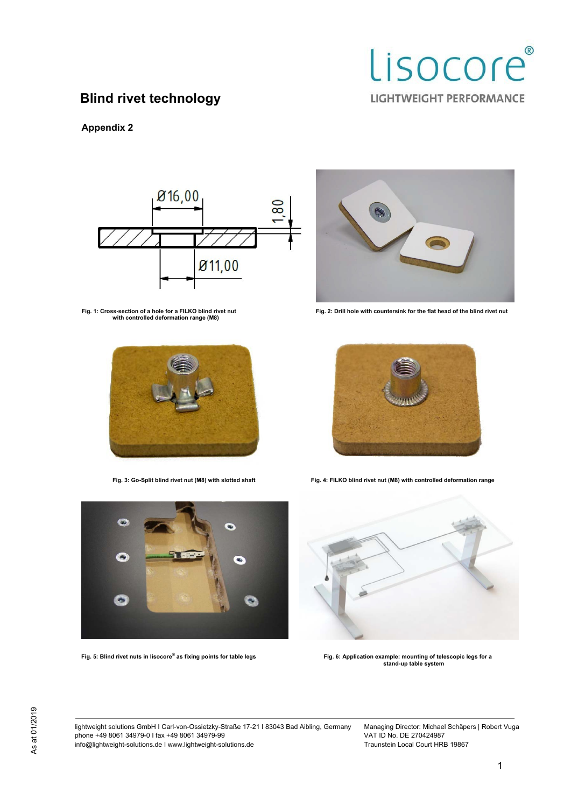

## **Appendix 2**



Fig. 1: Cross-section of a hole for a FILKO blind rivet nut<br>with controlled deformation range (M8)





Fig. 2: Drill hole with countersink for the flat head of the blind rivet nut



**Fig. 3: Go-Split blind rivet nut (M8) with slotted shaft Fig. 4: FILKO blind rivet nut (M8) with controlled deformation range** 



**Fig. 5: Blind rivet nuts in lisocore®**



Fig. 6: Application example: mounting of telescopic legs for a **stand-up table system** 

lightweight solutions GmbH I Carl-von-Ossietzky-Straße 17-21 I 83043 Bad Aibling, Germany phone +49 8061 34979-0 I fax +49 8061 34979-99 info@lightweight-solutions.de I www.lightweight-solutions.de